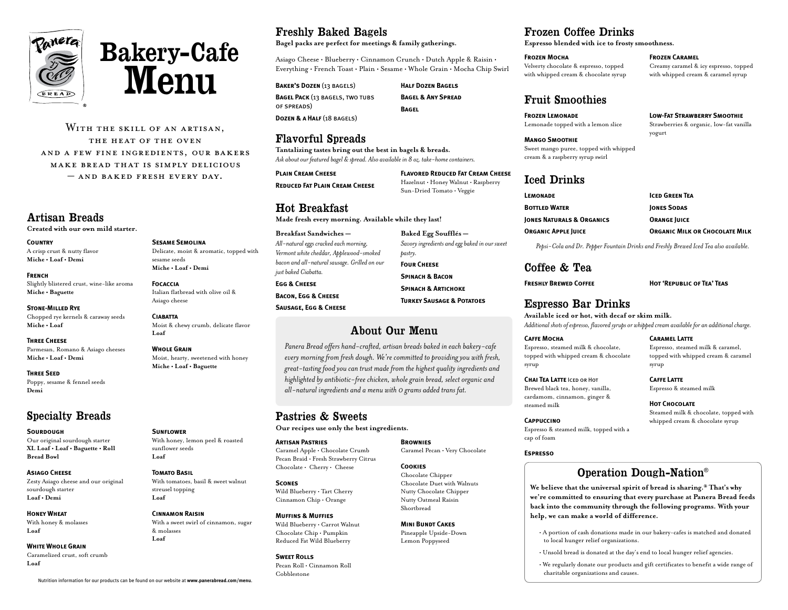



WITH THE SKILL OF AN ARTISAN, the heat of the oven and a few fine ingredients, our bakers make bread that is simply delicious – and baked fresh every day.

## Artisan Breads

**Created with our own mild starter.**

# **Country**

A crisp crust & nutty flavor **Miche • Loaf • Demi**

### **French**

Slightly blistered crust, wine-like aroma **Miche • Baguette**

### **Stone-Milled Rye**

Chopped rye kernels & caraway seeds **Miche • Loaf**

### **Three Cheese**

Parmesan, Romano & Asiago cheeses **Miche • Loaf • Demi**

### **Three Seed** Poppy, sesame & fennel seeds **Demi**

# Specialty Breads

### **SOURDOUGH**

Our original sourdough starter **XL Loaf • Loaf • Baguette • Roll Bread Bowl**

### **Asiago Cheese**

Zesty Asiago cheese and our original sourdough starter **Loaf • Demi**

### **Honey Wheat**

With honey & molasses **Loaf**

### **White Whole Grain**

Caramelized crust, soft crumb **Loaf**

### **Sesame Semolina** Delicate, moist & aromatic, topped with

sesame seeds **Miche • Loaf • Demi** 

**Focaccia** Italian flatbread with olive oil & Asiago cheese

**Ciabatta** Moist & chewy crumb, delicate flavor **Loaf**

### **Whole Grain**

**SUNFLOWER** 

sunflower seeds **Loaf** 

**Tomato Basil**

streusel topping **Loaf**

& molasses **Loaf**

Nutrition information for our products can be found on our website at **www.panerabread.com/menu**.

**Cinnamon Raisin**

Moist, hearty, sweetened with honey **Miche • Loaf • Baguette**

With honey, lemon peel & roasted

With tomatoes, basil & sweet walnut

With a sweet swirl of cinnamon, sugar

# Freshly Baked Bagels

**Bagel packs are perfect for meetings & family gatherings.** 

Asiago Cheese • Blueberry • Cinnamon Crunch • Dutch Apple & Raisin • Everything • French Toast • Plain • Sesame • Whole Grain • Mocha Chip Swirl

**Baker's Dozen** (13 bagels) **Bagel Pack** (13 bagels, two tubs of spreads) **Dozen & a Half** (18 bagels)

**Half Dozen Bagels Bagel & Any Spread Bagel**

**Baked Egg Soufflés —**

*pastry.* **Four Cheese Spinach & Bacon Spinach & Artichoke Turkey Sausage & Potatoes**

# Flavorful Spreads

**Tantalizing tastes bring out the best in bagels & breads.**  *Ask about our featured bagel & spread. Also available in 8 oz. take-home containers.* 

**Plain Cream Cheese Reduced Fat Plain Cream Cheese** **Flavored Reduced Fat Cream Cheese**  Hazelnut • Honey Walnut • Raspberry Sun-Dried Tomato • Veggie

*Savory ingredients and egg baked in our sweet* 

# Hot Breakfast

**Made fresh every morning. Available while they last!** 

### **Breakfast Sandwiches —** *All-natural eggs cracked each morning, Vermont white cheddar, Applewood-smoked bacon and all-natural sausage. Grilled on our just baked Ciabatta.* **Egg & Cheese Bacon, Egg & Cheese Sausage, Egg & Cheese**

# About Our Menu

*Panera Bread offers hand-crafted, artisan breads baked in each bakery-cafe every morning from fresh dough. We're committed to providing you with fresh, great-tasting food you can trust made from the highest quality ingredients and highlighted by antibiotic-free chicken, whole grain bread, select organic and all-natural ingredients and a menu with 0 grams added trans fat.*

# Pastries & Sweets

**Our recipes use only the best ingredients.** 

### **Artisan Pastries**

Caramel Apple • Chocolate Crumb Pecan Braid • Fresh Strawberry Citrus Chocolate • Cherry • Cheese

### **Scones**

Wild Blueberry • Tart Cherry Cinnamon Chip • Orange

### **Muffins & Muffies** Wild Blueberry • Carrot Walnut Chocolate Chip • Pumpkin

**Sweet Rolls**

Pecan Roll • Cinnamon Roll Cobblestone

Reduced Fat Wild Blueberry

# Frozen Coffee Drinks

**Espresso blended with ice to frosty smoothness.** 

### **Frozen Mocha**

Velverty chocolate & espresso, topped with whipped cream & chocolate syrup

### **Frozen Caramel**

Creamy caramel & icy espresso, topped with whipped cream & caramel syrup

**Low-Fat Strawberry Smoothie** Strawberries & organic, low-fat vanilla

## Fruit Smoothies

**Frozen Lemonade** Lemonade topped with a lemon slice

**Mango Smoothie** Sweet mango puree, topped with whipped cream & a raspberry syrup swirl yogurt

# Iced Drinks

| LEMONADE                   | <b>ICED GREEN TEA</b>                 |
|----------------------------|---------------------------------------|
| <b>BOTTLED WATER</b>       | <b>IONES SODAS</b>                    |
| IONES NATURALS & ORGANICS  | <b>ORANGE JUICE</b>                   |
| <b>ORGANIC APPLE JUICE</b> | <b>ORGANIC MILK OR CHOCOLATE MILK</b> |

*Pepsi-Cola and Dr. Pepper Fountain Drinks and Freshly Brewed Iced Tea also available.*

# Coffee & Tea

**Freshly Brewed Coffee Hot 'Republic of Tea' Teas**

Espresso, steamed milk & caramel,

# Espresso Bar Drinks

**Available iced or hot, with decaf or skim milk.**  *Additional shots of espresso, flavored syrups or whipped cream available for an additional charge.* 

### **Caffe Mocha**

Espresso, steamed milk & chocolate, topped with whipped cream & chocolate syrup

### **Chai Tea Latte** Iced or Hot Brewed black tea, honey, vanilla, cardamom, cinnamon, ginger & steamed milk

**Cappuccino** Espresso & steamed milk, topped with a cap of foam

### **Espresso**

# Operation Dough-Nation®

**We believe that the universal spirit of bread is sharing.® That's why we're committed to ensuring that every purchase at Panera Bread feeds back into the community through the following programs. With your help, we can make a world of difference.** 

- A portion of cash donations made in our bakery-cafes is matched and donated to local hunger relief organizations.
- Unsold bread is donated at the day's end to local hunger relief agencies.
- We regularly donate our products and gift certificates to benefit a wide range of charitable organizations and causes.

topped with whipped cream & caramel syrup

**Caffe Latte** Espresso & steamed milk

**HOT CHOCOLATE** Steamed milk & chocolate, topped with whipped cream & chocolate syrup

**Caramel Latte**



Nutty Oatmeal Raisin Shortbread

### **Mini Bundt Cakes** Pineapple Upside-Down Lemon Poppyseed

**Brownies** 

**Cookies** Chocolate Chipper Chocolate Duet with Walnuts Nutty Chocolate Chipper

Caramel Pecan • Very Chocolate